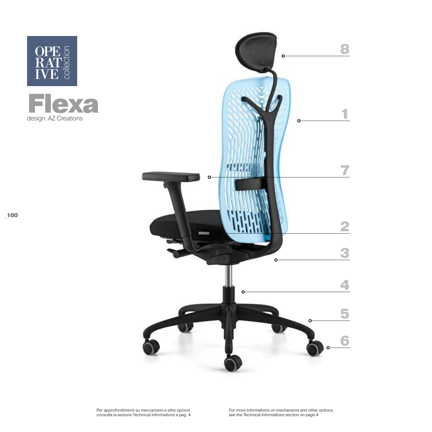

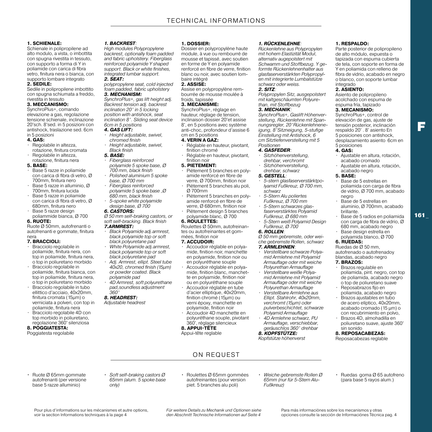Dossier en polypropylène haute module, à vue ou rembourré de mousse et tapissé, avec soutien en forme de Y en polyamide renforcé en fibre de verre, finition blanc ou noir, avec soutien lom-

Assise en polypropylène rembourrée de mousse moulée à

• Réglable en hauteur, pivotant,

• Réglable en hauteur, pivotant,

• Piètement 5 branches en polyamide renforcé en fibre de verre, Ø 700mm, finition noir • Piètement 5 branches alu poli,

• Piètement 5 branches en polyamide renforcé en fibre de verre, Ø 680mm, finition noir • Piètement design 5 branches polyamide blanc, Ø 700

**1. DOSSIER:**

baire intégré **2. ASSISE:**

froids, tapissée **3. MECANISME:**  SynchroPlus+, réglage en hauteur, réglage de tension, inclinaison dossier 20°et assise 8°, en 5 positions avec système anti-choc, profondeur d'assise 6

cm en 5 positions **4. VERIN A GAZ:**

finition chromé

finition noir **5. PIETEMENT:**

Ø 700mm

**6. ROULETTES:**

#### **1. SCHIENALE:**

Schienale in polipropilene ad alto modulo, a vista, o imbottita con spugna rivestita in tessuto, con supporto a forma di Y in poliamide con carica di fibra vetro, finitura nera o bianca, con supporto lombare integrato

#### **2. SEDILE:**

Sedile in polipropilene imbottito con spugna schiumata a freddo, rivestita in tessuto

# **3. MECCANISMO:**

SynchroPlus+, comando elevazione a gas, regolazione tensione schienale, inclinazione 20°sch. 8°sed. in 5 posizioni con antishock, traslazione sed. 6cm in 5 posizioni

#### **4. GAS:**

- Regolabile in altezza, rotazione, finitura cromata
- Regolabile in altezza, rotazione, finitura nera

#### **5. BASE:**

- Base 5 razze in poliamide con carica di fibra di vetro, Ø 700mm, finitura nero
- Base 5 razze in alluminio, Ø 700mm, finitura lucida
- Base 5 razze in poliamide con carica di fibra di vetro, Ø 680mm, finitura nero
- Base 5 razze design poliammide bianca, Ø 700

# **6. RUOTE:**

Ruote Ø 50mm, autofrenanti o autofrenanti e gommate, finitura nera

# **7. BRACCIOLI:**

- Bracciolo regolabile in poliamide, finitura nera, con top in poliamide, finitura nera, o top in poliuretano morbido
- Bracciolo regolabile in poliamide, finitura bianca, con top in poliamide, finitura nera, o top in poliuretano morbido
- Bracciolo regolabile in tubo ellittico d'acciaio, 40x20mm, finitura cromata (15μm) o verniciata a polveri, con top in poliamide, finitura nera
- Bracciolo regolabile 4D con top morbido in poliuretano, regolazione 360° silenziosa

# **8. POGGIATESTA:**

Poggiatesta regolabile

#### *1. BACKREST:*

*High modules Polypropylene backrest, optionally foam padded and fabric upholstery. Fiberglass reinforced polyamide Y shaped support. Black or white finishes, integrated lumbar support.*

#### *2. SEAT:*

*polypropylene seat, cold injected foam padded, fabric upholstery 3. MECHANISM:* 

*SynchroPlus+, gas lift height adj. Backrest tension adj. backrest inclination 20° in 5 locking position with antishock, seat inclination 8°. Sliding seat device 6cm in 5 positions*

# *4. GAS LIFT:*

- *Height adjustable, swivel, chromed finish*
- *Height adjustable, swivel, Black finish*

# *5. BASE:*

- *Fiberglass reinforced polyamide 5 spoke base, Ø 700 mm, black finish*
- *Polished aluminium 5 spoke base, Ø 700 mm*
- *Fiberglass reinforced polyamide 5 spoke base ,Ø 680 mm, black finish*
- *5-spoke white polyamide design base, Ø 700*

#### *6. CASTORS:*

*360° 8. HEADREST: Adjustable headrest*

*Ø 50 mm self-braking castors, or soft self-bracking. Black finish 7.ARMREST:*

• *White Polyamide adj.armrest, black polyamide top or soft black polyuretane pad* • *Adj. Armrest, ellipt. Steel tube 40x20, chromed finish (15μm) or powder coated. Black polyamide pad*

• *4D Armrest, soft polyurethane pad,soundless adjustment* 

• *Black Polyamide adj.armrest, black polyamide top or soft black polyuretane pad*

#### mées, finition noir **7. ACCUDOIR:**

• Accoudoir réglable en polyamide, finition noir, manchette en polyamide, finition noir ou en polyuréthane souple

Roulettes Ø 50mm, autofreinantes ou autofreinantes et gom-

- Accoudoir réglable en polyamide, finition blanc, manchette en polyamide, finition noir ou en polyuréthane souple
- Accoudoir réglable en tube d'acier elliptique, 40x20mm, finition chromé (15μm) ou verni époxy, manchette en polyamide, finition noir
- Accoudoir 4D manchette en polyuréthane souple, pivotant 360°, réglage silencieux

# **8. APPUI-TÊTE**

Appui-tête reglable

## *1. RÜCKENLEHNE:*

*Rückenlehne aus Polypropylen mit hohem Elastizität Modul, alternativ augepolstert mit Schwamm und Stoffbezug. Y geformte Rückenlehnenhalter aus glasfaserverstärkten Polypropylen mit integrierte Lumbalstütze schwarz oder weiss.* 

# *2. SITZ:*

*Polypropylen Sitz, ausgepolstert mit kaltgeschäumten Polyurethan, mit Stoffbezug*

# *3. MECHANIK:*

*SynchroPlus+, Gaslift Höhenverstellung, Rückenlehne mit Spannungsregler, 20°Rückenlehneneigung, 8°Sitzneigung, 5-stufige Einstellung mit Antishock, 6 cm Sitztiefenverstellung mit 5 Positionen*

#### *4. GASFEDER:*

- *Sitzhöhenverstellung, drehbar, verchromt*
- *Sitzhöhenverstellung, drehbar, schwarz*

#### *5. GESTELL:*

- *5-stern glasfaserverstärktpolyamid Fußkreuz, Ø 700 mm, schwarz*
- *5-Stern Alu poliertes Fußkreuz, Ø 700 mm*
- *5-Stern schwarzes glasfaserverstärktes Polyamid Fußkreuz, Ø 680 mm*
- *5-Stern weiß Polyamid Design Fußkreuz, Ø 700*

# *6. ROLLEN:*

*Ø 50 mm gebremste, oder weiche gebremste Rollen, schwarz*

# *7. ARMLEHNEN:*

- *Verstellbare schwarze Polyamid Armlehne mit Polyamid Armauflage oder mit weiche Polyurethan Armauflage*
- *Verstellbare weiße Polyamid Armlehne mit Polyamid Armauflage oder mit weiche Polyurethan Armauflage*
- *Verstellbare Armlehne aus Ellipt. Stahlrohr, 40x20mm, verchromt (15μm) oder pulverbeschichtet, schwarze Polyamid Armauflage*
- *4D Armlehne schwarz, PU Armauflage, verschiebbar, geräuschlos 360° drehbar*

# *8. KOPFSTÜTZE:*

*Kopfstütze höhenverst*

# **1. RESPALDO:**

Parte posterior de polipropileno de alto módulo, expuesta o tapizada con espuma cubierta de tela, con soporte en forma de Y en poliamida con relleno de fibra de vidrio, acabado en negro o blanco, con soporte lumbar integrado

# **2. ASIENTO:**

Asiento de polipropileno acolchado con espuma de espuma fría, tapizado

# **3. MECANISMO:**

SynchroPlus+, control de elevación de gas, ajuste de tensión posterior, inclinación respaldo 20° . 8° asiento En 5 posiciones con antishock, desplazamiento asiento 6cm en 5 posiciones

 $\overline{\phantom{a}}$ 

161 \_

# **4. GAS:**

- Ajustable en altura, rotación, acabado cromado
- Ajustable en altura, rotación, acabado negro

# **5. BASE:**

- Base de 5 estrellas en poliamida con carga de fibra de vidrio, Ø 700 mm, acabado negro
- Base de 5 estrellas en aluminio, Ø 700mm, acabado brillante.
- Base de 5 radios en poliamida con carga de fibra de vidrio, Ø 680 mm, acabado negro
- Base design estrella en polyamida blanco, Ø 700 **6. RUEDAS:**

# Ruedas de Ø 50 mm,

#### autofrenado o autofrenadoy blandas, acabado negro **7. BRAZOS:**

- Brazos regulable en poliamida, pint. negro, con top de poliamida, acabado negro o top de poliuretano suave
- Reposabrazos fijo en poliamida, acabado negro
- Brazos ajustables en tubo de acero elíptico, 40x20mm, acabado cromado (15 μm) o con recubrimiento en polvo,
- Brazos 4D, almohadilla en poliuretano suave, ajuste 360° sin sonido

#### **8. REPOSACABEZAS:**

Reposacabezas reglable

- Ruote Ø 65mm gommate autofrenanti (per versione base 5 razze alluminio)
- *• Soft self-braking castors Ø 65mm (alum. 5 spoke base only)*
- Roulettes Ø 65mm gommées autofreinantes (pour version piet. 5 branches alu poli)

ON REQUEST

- *• Weiche gebremste Rollen Ø 65mm (nur für 5-Stern Alu-Fußkreuz)*
- Ruedas goma Ø 65 autofreno (para base 5 rayos alum.)

*Für weitere Details zu Mechanik und Optionen siehe den Abschnitt Technische Informationen auf Seite 4*

Para más informaciònes sobre los mecanismos y otras opciones consulte la sección de Informaciónes Técnica pag. 4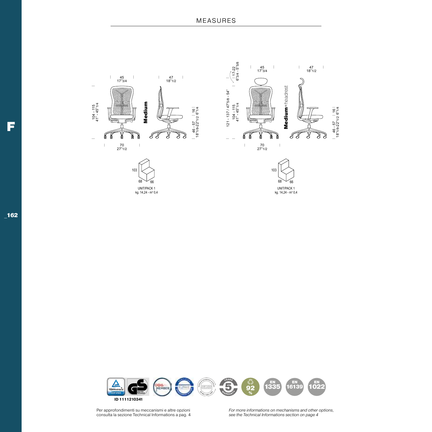



Per approfondimenti su meccanismi e altre opzioni consulta la sezione Technical Informations a pag. 4

*For more informations on mechanisms and other options, see the Technical Informations section on page 4*

F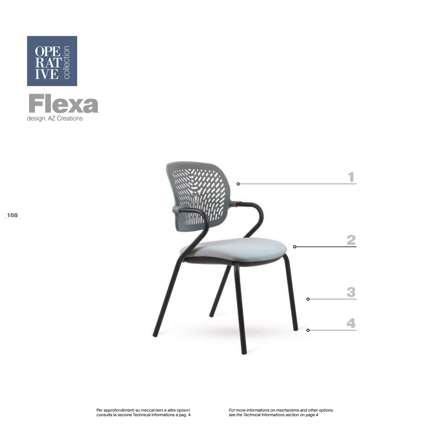